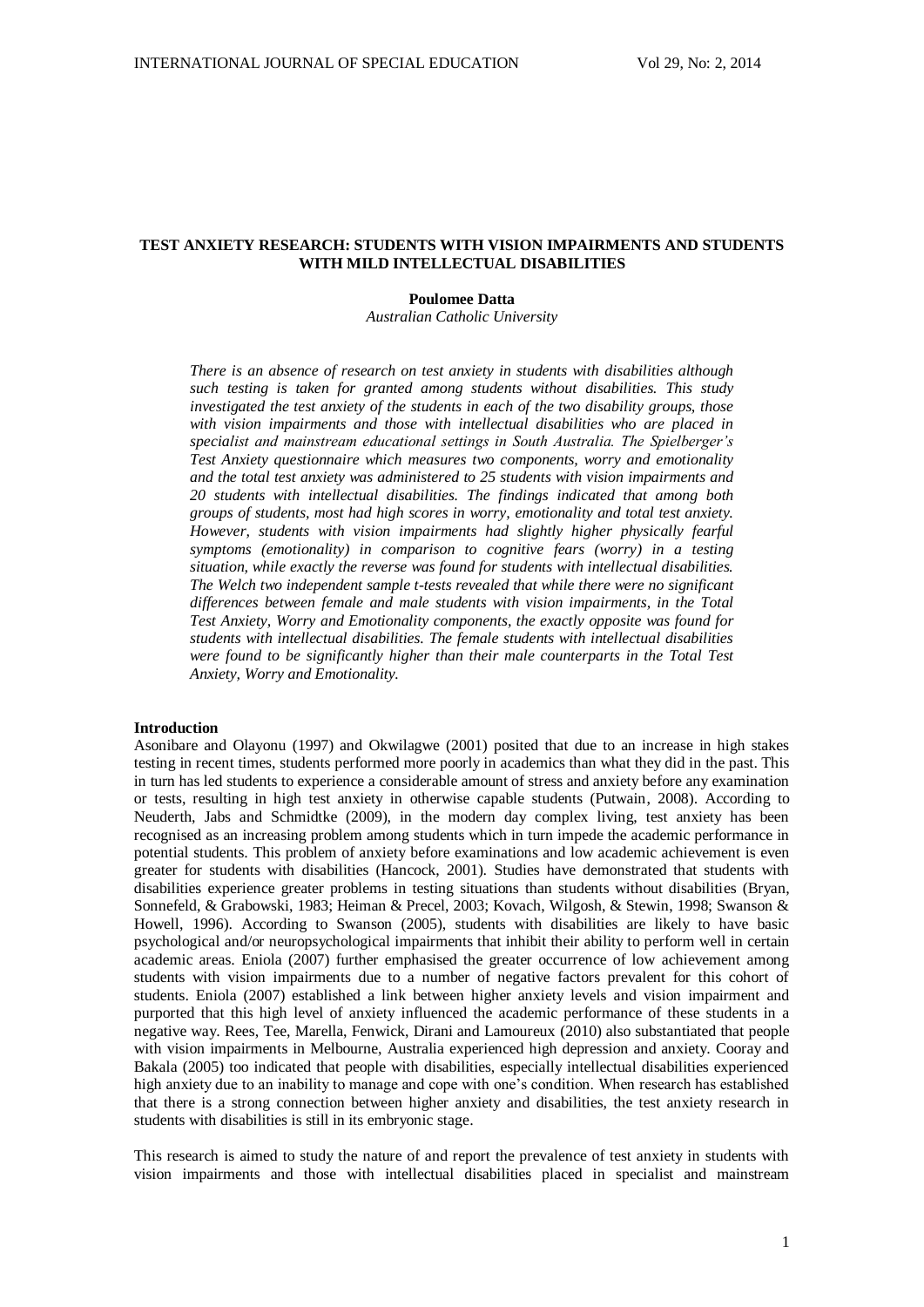# **TEST ANXIETY RESEARCH: STUDENTS WITH VISION IMPAIRMENTS AND STUDENTS WITH MILD INTELLECTUAL DISABILITIES**

# **Poulomee Datta**

*Australian Catholic University*

*There is an absence of research on test anxiety in students with disabilities although such testing is taken for granted among students without disabilities. This study investigated the test anxiety of the students in each of the two disability groups, those with vision impairments and those with intellectual disabilities who are placed in specialist and mainstream educational settings in South Australia. The Spielberger's Test Anxiety questionnaire which measures two components, worry and emotionality and the total test anxiety was administered to 25 students with vision impairments and 20 students with intellectual disabilities. The findings indicated that among both groups of students, most had high scores in worry, emotionality and total test anxiety. However, students with vision impairments had slightly higher physically fearful symptoms (emotionality) in comparison to cognitive fears (worry) in a testing situation, while exactly the reverse was found for students with intellectual disabilities. The Welch two independent sample t-tests revealed that while there were no significant differences between female and male students with vision impairments, in the Total Test Anxiety, Worry and Emotionality components, the exactly opposite was found for students with intellectual disabilities. The female students with intellectual disabilities were found to be significantly higher than their male counterparts in the Total Test Anxiety, Worry and Emotionality.*

### **Introduction**

Asonibare and Olayonu (1997) and Okwilagwe (2001) posited that due to an increase in high stakes testing in recent times, students performed more poorly in academics than what they did in the past. This in turn has led students to experience a considerable amount of stress and anxiety before any examination or tests, resulting in high test anxiety in otherwise capable students (Putwain, 2008). According to Neuderth, Jabs and Schmidtke (2009), in the modern day complex living, test anxiety has been recognised as an increasing problem among students which in turn impede the academic performance in potential students. This problem of anxiety before examinations and low academic achievement is even greater for students with disabilities (Hancock, 2001). Studies have demonstrated that students with disabilities experience greater problems in testing situations than students without disabilities (Bryan, Sonnefeld, & Grabowski, 1983; Heiman & Precel, 2003; Kovach, Wilgosh, & Stewin, 1998; Swanson & Howell, 1996). According to Swanson (2005), students with disabilities are likely to have basic psychological and/or neuropsychological impairments that inhibit their ability to perform well in certain academic areas. Eniola (2007) further emphasised the greater occurrence of low achievement among students with vision impairments due to a number of negative factors prevalent for this cohort of students. Eniola (2007) established a link between higher anxiety levels and vision impairment and purported that this high level of anxiety influenced the academic performance of these students in a negative way. Rees, Tee, Marella, Fenwick, Dirani and Lamoureux (2010) also substantiated that people with vision impairments in Melbourne, Australia experienced high depression and anxiety. Cooray and Bakala (2005) too indicated that people with disabilities, especially intellectual disabilities experienced high anxiety due to an inability to manage and cope with one's condition. When research has established that there is a strong connection between higher anxiety and disabilities, the test anxiety research in students with disabilities is still in its embryonic stage.

This research is aimed to study the nature of and report the prevalence of test anxiety in students with vision impairments and those with intellectual disabilities placed in specialist and mainstream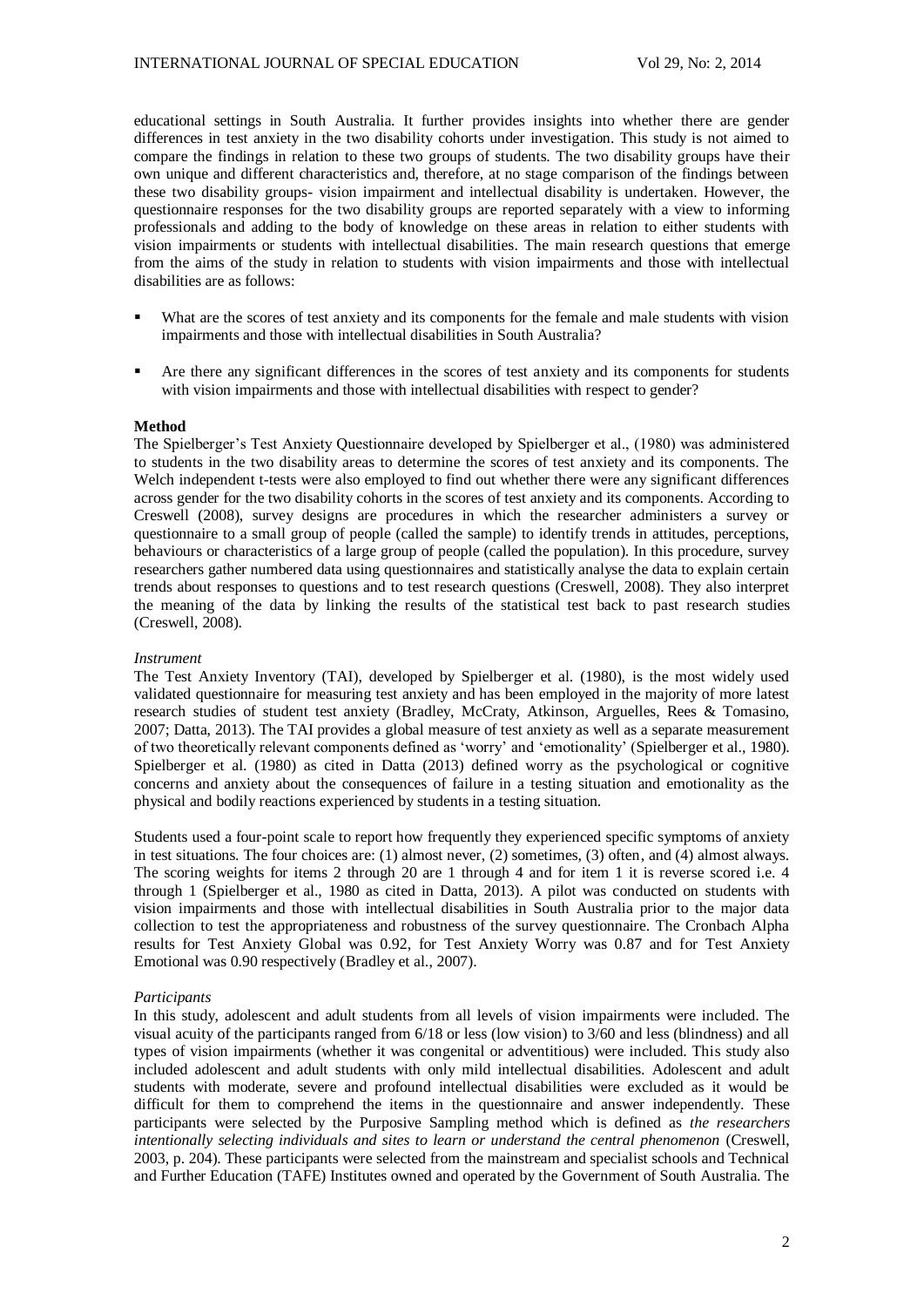educational settings in South Australia. It further provides insights into whether there are gender differences in test anxiety in the two disability cohorts under investigation. This study is not aimed to compare the findings in relation to these two groups of students. The two disability groups have their own unique and different characteristics and, therefore, at no stage comparison of the findings between these two disability groups- vision impairment and intellectual disability is undertaken. However, the questionnaire responses for the two disability groups are reported separately with a view to informing professionals and adding to the body of knowledge on these areas in relation to either students with vision impairments or students with intellectual disabilities. The main research questions that emerge from the aims of the study in relation to students with vision impairments and those with intellectual disabilities are as follows:

- What are the scores of test anxiety and its components for the female and male students with vision impairments and those with intellectual disabilities in South Australia?
- Are there any significant differences in the scores of test anxiety and its components for students with vision impairments and those with intellectual disabilities with respect to gender?

### **Method**

The Spielberger's Test Anxiety Questionnaire developed by Spielberger et al., (1980) was administered to students in the two disability areas to determine the scores of test anxiety and its components. The Welch independent t-tests were also employed to find out whether there were any significant differences across gender for the two disability cohorts in the scores of test anxiety and its components. According to Creswell (2008), survey designs are procedures in which the researcher administers a survey or questionnaire to a small group of people (called the sample) to identify trends in attitudes, perceptions, behaviours or characteristics of a large group of people (called the population). In this procedure, survey researchers gather numbered data using questionnaires and statistically analyse the data to explain certain trends about responses to questions and to test research questions (Creswell, 2008). They also interpret the meaning of the data by linking the results of the statistical test back to past research studies (Creswell, 2008).

#### *Instrument*

The Test Anxiety Inventory (TAI), developed by Spielberger et al. (1980), is the most widely used validated questionnaire for measuring test anxiety and has been employed in the majority of more latest research studies of student test anxiety (Bradley, McCraty, Atkinson, Arguelles, Rees & Tomasino, 2007; Datta, 2013). The TAI provides a global measure of test anxiety as well as a separate measurement of two theoretically relevant components defined as 'worry' and 'emotionality' (Spielberger et al., 1980). Spielberger et al. (1980) as cited in Datta (2013) defined worry as the psychological or cognitive concerns and anxiety about the consequences of failure in a testing situation and emotionality as the physical and bodily reactions experienced by students in a testing situation.

Students used a four-point scale to report how frequently they experienced specific symptoms of anxiety in test situations. The four choices are: (1) almost never, (2) sometimes, (3) often, and (4) almost always. The scoring weights for items 2 through 20 are 1 through 4 and for item 1 it is reverse scored i.e. 4 through 1 (Spielberger et al., 1980 as cited in Datta, 2013). A pilot was conducted on students with vision impairments and those with intellectual disabilities in South Australia prior to the major data collection to test the appropriateness and robustness of the survey questionnaire. The Cronbach Alpha results for Test Anxiety Global was 0.92, for Test Anxiety Worry was 0.87 and for Test Anxiety Emotional was 0.90 respectively (Bradley et al., 2007).

#### *Participants*

In this study, adolescent and adult students from all levels of vision impairments were included. The visual acuity of the participants ranged from 6/18 or less (low vision) to 3/60 and less (blindness) and all types of vision impairments (whether it was congenital or adventitious) were included. This study also included adolescent and adult students with only mild intellectual disabilities. Adolescent and adult students with moderate, severe and profound intellectual disabilities were excluded as it would be difficult for them to comprehend the items in the questionnaire and answer independently. These participants were selected by the Purposive Sampling method which is defined as *the researchers intentionally selecting individuals and sites to learn or understand the central phenomenon* (Creswell, 2003, p. 204). These participants were selected from the mainstream and specialist schools and Technical and Further Education (TAFE) Institutes owned and operated by the Government of South Australia. The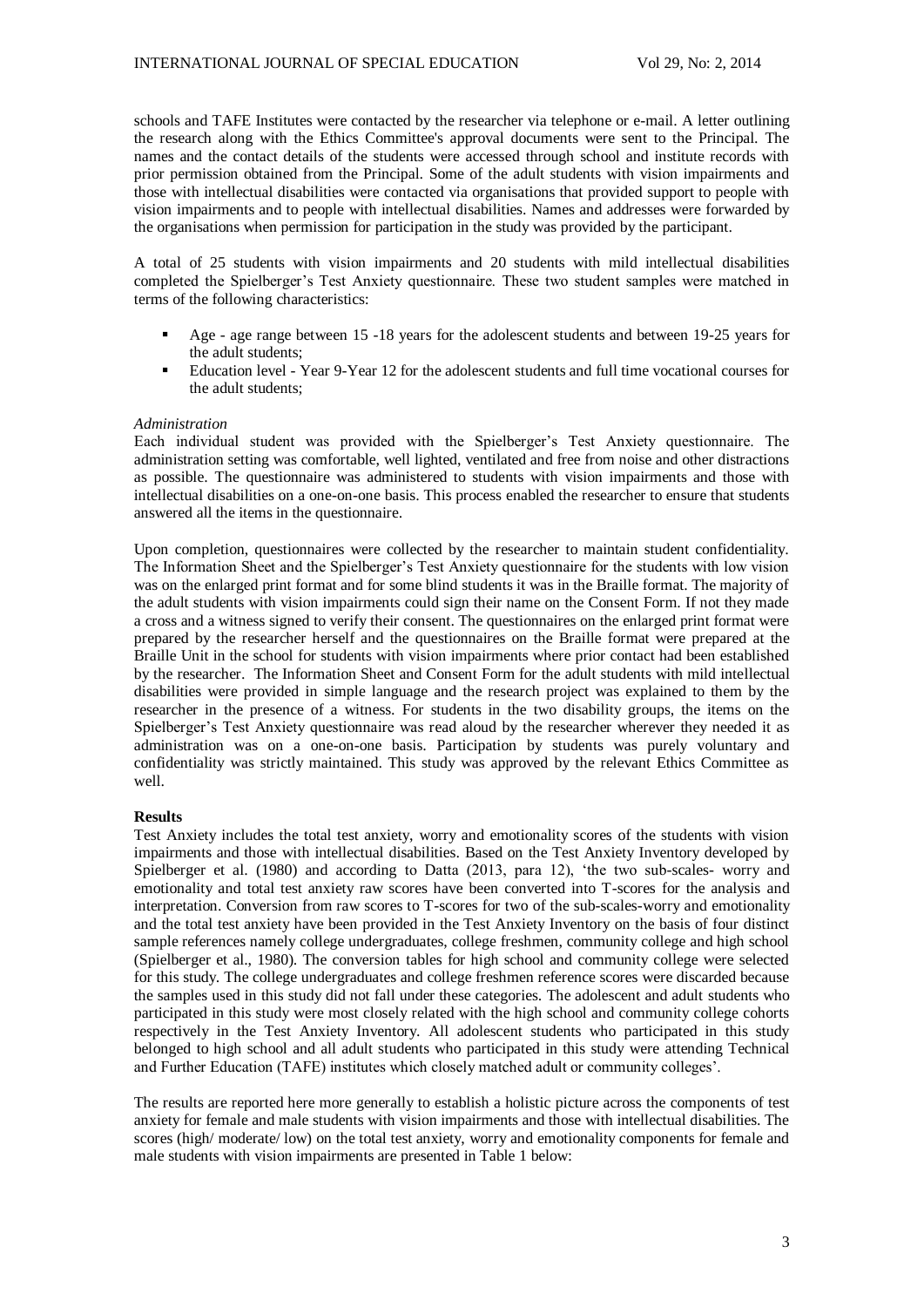schools and TAFE Institutes were contacted by the researcher via telephone or e-mail. A letter outlining the research along with the Ethics Committee's approval documents were sent to the Principal. The names and the contact details of the students were accessed through school and institute records with prior permission obtained from the Principal. Some of the adult students with vision impairments and those with intellectual disabilities were contacted via organisations that provided support to people with vision impairments and to people with intellectual disabilities. Names and addresses were forwarded by the organisations when permission for participation in the study was provided by the participant.

A total of 25 students with vision impairments and 20 students with mild intellectual disabilities completed the Spielberger's Test Anxiety questionnaire. These two student samples were matched in terms of the following characteristics:

- Age age range between 15 -18 years for the adolescent students and between 19-25 years for the adult students;
- Education level Year 9-Year 12 for the adolescent students and full time vocational courses for the adult students;

# *Administration*

Each individual student was provided with the Spielberger's Test Anxiety questionnaire. The administration setting was comfortable, well lighted, ventilated and free from noise and other distractions as possible. The questionnaire was administered to students with vision impairments and those with intellectual disabilities on a one-on-one basis. This process enabled the researcher to ensure that students answered all the items in the questionnaire.

Upon completion, questionnaires were collected by the researcher to maintain student confidentiality. The Information Sheet and the Spielberger's Test Anxiety questionnaire for the students with low vision was on the enlarged print format and for some blind students it was in the Braille format. The majority of the adult students with vision impairments could sign their name on the Consent Form. If not they made a cross and a witness signed to verify their consent. The questionnaires on the enlarged print format were prepared by the researcher herself and the questionnaires on the Braille format were prepared at the Braille Unit in the school for students with vision impairments where prior contact had been established by the researcher. The Information Sheet and Consent Form for the adult students with mild intellectual disabilities were provided in simple language and the research project was explained to them by the researcher in the presence of a witness. For students in the two disability groups, the items on the Spielberger's Test Anxiety questionnaire was read aloud by the researcher wherever they needed it as administration was on a one-on-one basis. Participation by students was purely voluntary and confidentiality was strictly maintained. This study was approved by the relevant Ethics Committee as well.

# **Results**

Test Anxiety includes the total test anxiety, worry and emotionality scores of the students with vision impairments and those with intellectual disabilities. Based on the Test Anxiety Inventory developed by Spielberger et al. (1980) and according to Datta (2013, para 12), 'the two sub-scales- worry and emotionality and total test anxiety raw scores have been converted into T-scores for the analysis and interpretation. Conversion from raw scores to T-scores for two of the sub-scales-worry and emotionality and the total test anxiety have been provided in the Test Anxiety Inventory on the basis of four distinct sample references namely college undergraduates, college freshmen, community college and high school (Spielberger et al., 1980). The conversion tables for high school and community college were selected for this study. The college undergraduates and college freshmen reference scores were discarded because the samples used in this study did not fall under these categories. The adolescent and adult students who participated in this study were most closely related with the high school and community college cohorts respectively in the Test Anxiety Inventory. All adolescent students who participated in this study belonged to high school and all adult students who participated in this study were attending Technical and Further Education (TAFE) institutes which closely matched adult or community colleges'.

The results are reported here more generally to establish a holistic picture across the components of test anxiety for female and male students with vision impairments and those with intellectual disabilities. The scores (high/ moderate/ low) on the total test anxiety, worry and emotionality components for female and male students with vision impairments are presented in Table 1 below: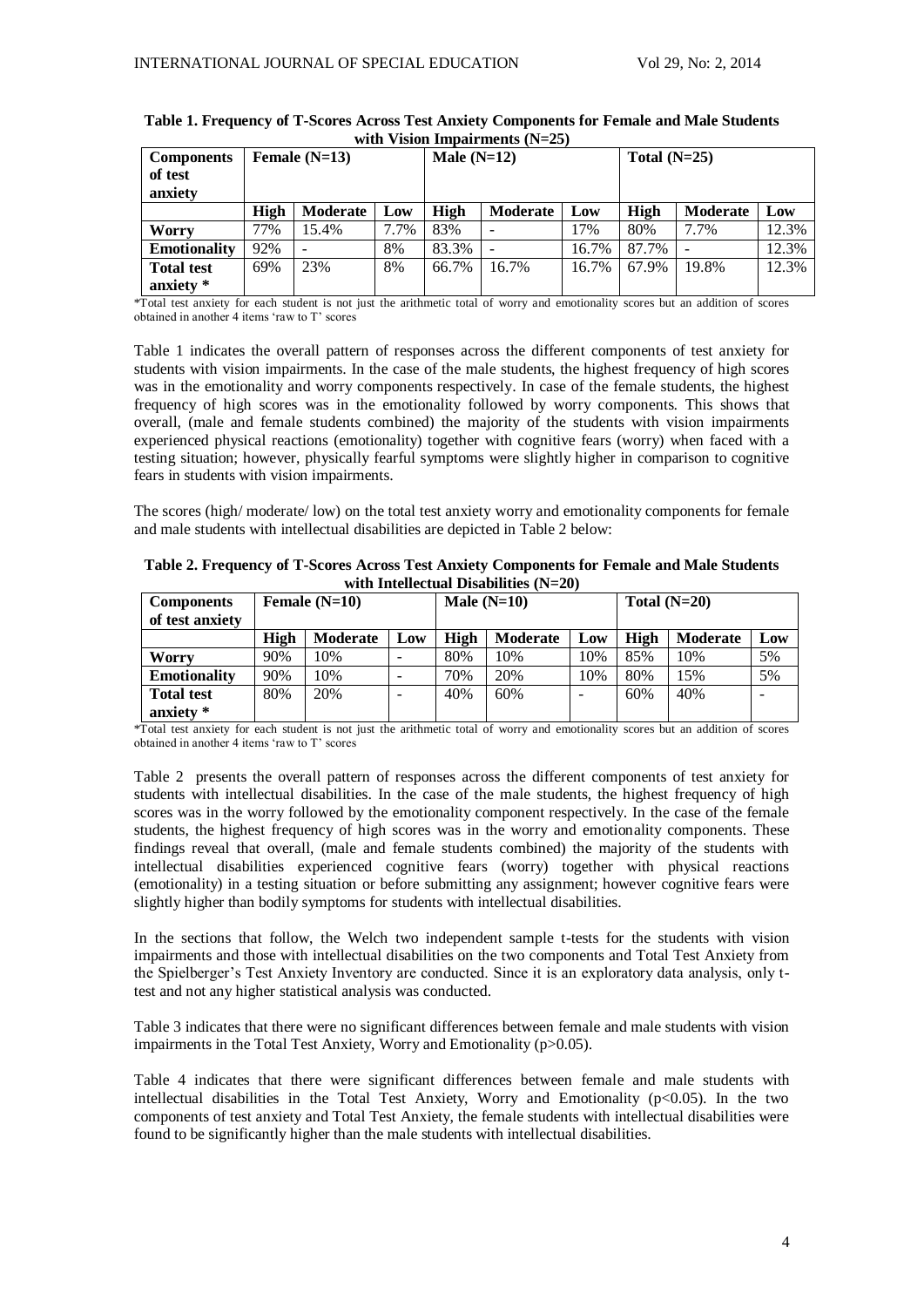| <b>Components</b><br>of test<br>anxiety | Female $(N=13)$ |                 |      | Male $(N=12)$ |          |       | Total $(N=25)$ |                 |       |
|-----------------------------------------|-----------------|-----------------|------|---------------|----------|-------|----------------|-----------------|-------|
|                                         | High            | <b>Moderate</b> | Low  | High          | Moderate | Low   | High           | <b>Moderate</b> | Low   |
| <b>Worry</b>                            | 77%             | 15.4%           | 7.7% | 83%           | -        | 17%   | 80%            | 7.7%            | 12.3% |
| <b>Emotionality</b>                     | 92%             |                 | 8%   | 83.3%         |          | 16.7% | 87.7%          |                 | 12.3% |
| <b>Total test</b>                       | 69%             | 23%             | 8%   | 66.7%         | 16.7%    | 16.7% | 67.9%          | 19.8%           | 12.3% |
| anxiety *                               |                 |                 |      |               |          |       |                |                 |       |

# **Table 1. Frequency of T-Scores Across Test Anxiety Components for Female and Male Students with Vision Impairments (N=25)**

\*Total test anxiety for each student is not just the arithmetic total of worry and emotionality scores but an addition of scores obtained in another 4 items 'raw to T' scores

Table 1 indicates the overall pattern of responses across the different components of test anxiety for students with vision impairments. In the case of the male students, the highest frequency of high scores was in the emotionality and worry components respectively. In case of the female students, the highest frequency of high scores was in the emotionality followed by worry components. This shows that overall, (male and female students combined) the majority of the students with vision impairments experienced physical reactions (emotionality) together with cognitive fears (worry) when faced with a testing situation; however, physically fearful symptoms were slightly higher in comparison to cognitive fears in students with vision impairments.

The scores (high/ moderate/ low) on the total test anxiety worry and emotionality components for female and male students with intellectual disabilities are depicted in Table 2 below:

| Table 2. Frequency of T-Scores Across Test Anxiety Components for Female and Male Students |
|--------------------------------------------------------------------------------------------|
| with Intellectual Disabilities $(N=20)$                                                    |

| <b>Components</b>   | Female $(N=10)$ |                 |     | Male $(N=10)$ |          |     | Total $(N=20)$ |                 |                          |
|---------------------|-----------------|-----------------|-----|---------------|----------|-----|----------------|-----------------|--------------------------|
| of test anxiety     |                 |                 |     |               |          |     |                |                 |                          |
|                     | High            | <b>Moderate</b> | Low | High          | Moderate | Low | High           | <b>Moderate</b> | Low                      |
| Worry               | 90%             | 10%             |     | 80%           | 10%      | 10% | 85%            | 10%             | 5%                       |
| <b>Emotionality</b> | 90%             | 10%             | -   | 70%           | 20%      | 10% | 80%            | 15%             | 5%                       |
| <b>Total test</b>   | 80%             | 20%             | -   | 40%           | 60%      |     | 60%            | 40%             | $\overline{\phantom{0}}$ |
| anxiety *           |                 |                 |     |               |          |     |                |                 |                          |

\*Total test anxiety for each student is not just the arithmetic total of worry and emotionality scores but an addition of scores obtained in another 4 items 'raw to T' scores

Table 2 presents the overall pattern of responses across the different components of test anxiety for students with intellectual disabilities. In the case of the male students, the highest frequency of high scores was in the worry followed by the emotionality component respectively. In the case of the female students, the highest frequency of high scores was in the worry and emotionality components. These findings reveal that overall, (male and female students combined) the majority of the students with intellectual disabilities experienced cognitive fears (worry) together with physical reactions (emotionality) in a testing situation or before submitting any assignment; however cognitive fears were slightly higher than bodily symptoms for students with intellectual disabilities.

In the sections that follow, the Welch two independent sample t-tests for the students with vision impairments and those with intellectual disabilities on the two components and Total Test Anxiety from the Spielberger's Test Anxiety Inventory are conducted. Since it is an exploratory data analysis, only ttest and not any higher statistical analysis was conducted.

Table 3 indicates that there were no significant differences between female and male students with vision impairments in the Total Test Anxiety, Worry and Emotionality (p>0.05).

Table 4 indicates that there were significant differences between female and male students with intellectual disabilities in the Total Test Anxiety, Worry and Emotionality ( $p<0.05$ ). In the two components of test anxiety and Total Test Anxiety, the female students with intellectual disabilities were found to be significantly higher than the male students with intellectual disabilities.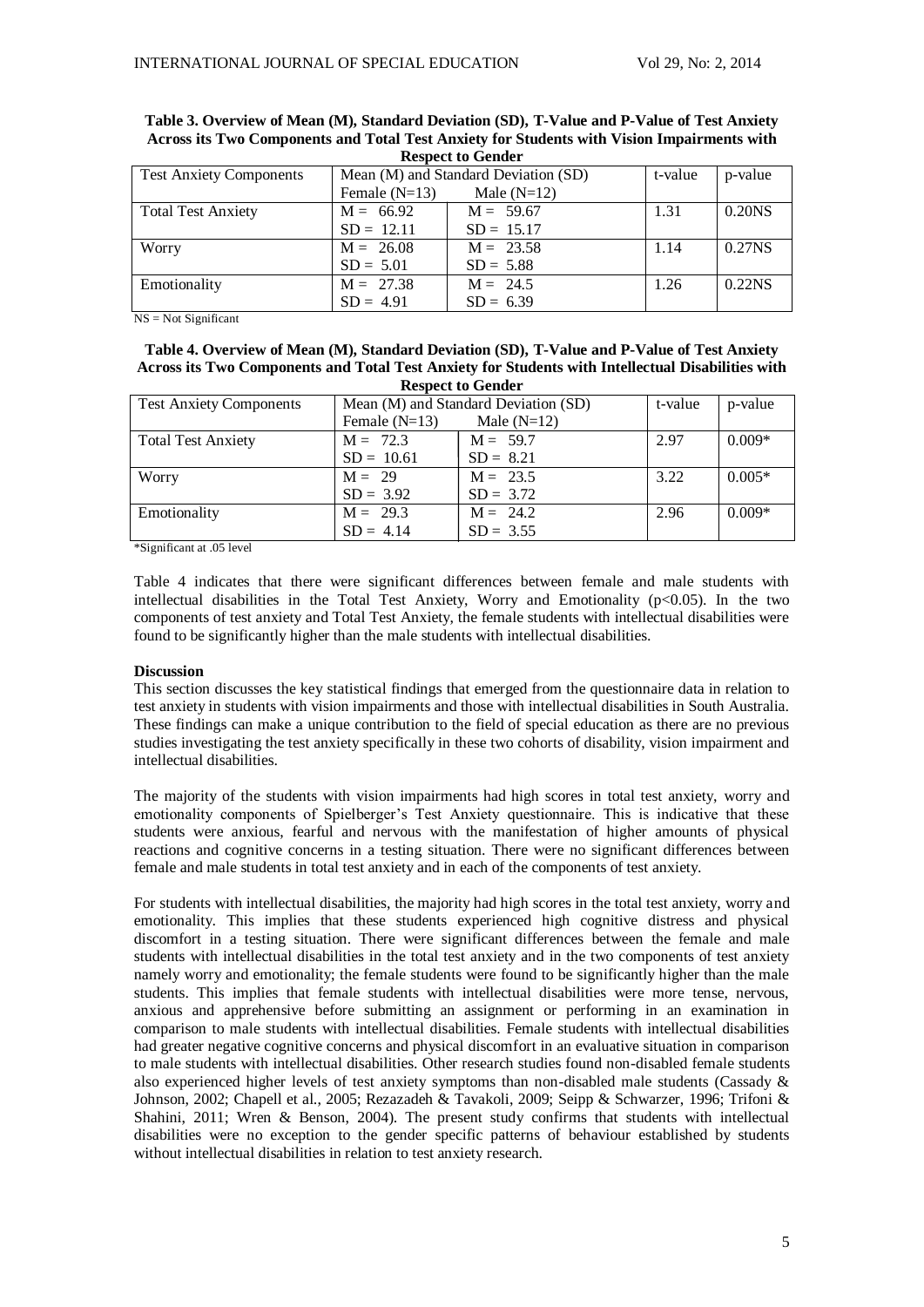| <b>Test Anxiety Components</b> | Mean (M) and Standard Deviation (SD) | t-value       | p-value |                     |  |  |  |
|--------------------------------|--------------------------------------|---------------|---------|---------------------|--|--|--|
|                                | Female $(N=13)$                      | Male $(N=12)$ |         |                     |  |  |  |
| <b>Total Test Anxiety</b>      | $M = 66.92$                          | $M = 59.67$   | 1.31    | 0.20 <sub>N</sub> S |  |  |  |
|                                | $SD = 12.11$                         | $SD = 15.17$  |         |                     |  |  |  |
| Worry                          | $M = 26.08$                          | $M = 23.58$   | 1.14    | 0.27 <sub>NS</sub>  |  |  |  |
|                                | $SD = 5.01$                          | $SD = 5.88$   |         |                     |  |  |  |
| Emotionality                   | $M = 27.38$                          | $M = 24.5$    | 1.26    | 0.22 <sub>N</sub> S |  |  |  |
|                                | $SD = 4.91$                          | $SD = 6.39$   |         |                     |  |  |  |

| Table 3. Overview of Mean (M), Standard Deviation (SD), T-Value and P-Value of Test Anxiety |
|---------------------------------------------------------------------------------------------|
| Across its Two Components and Total Test Anxiety for Students with Vision Impairments with  |
| <b>Respect to Gender</b>                                                                    |

 $NS = Not Significant$ 

| Table 4. Overview of Mean (M), Standard Deviation (SD), T-Value and P-Value of Test Anxiety       |
|---------------------------------------------------------------------------------------------------|
| Across its Two Components and Total Test Anxiety for Students with Intellectual Disabilities with |
| <b>Respect to Gender</b>                                                                          |

| woodce to schuch               |                                      |               |         |          |  |  |  |
|--------------------------------|--------------------------------------|---------------|---------|----------|--|--|--|
| <b>Test Anxiety Components</b> | Mean (M) and Standard Deviation (SD) | t-value       | p-value |          |  |  |  |
|                                | Female $(N=13)$                      | Male $(N=12)$ |         |          |  |  |  |
| <b>Total Test Anxiety</b>      | $M = 72.3$                           | $M = 59.7$    | 2.97    | $0.009*$ |  |  |  |
|                                | $SD = 10.61$                         | $SD = 8.21$   |         |          |  |  |  |
| Worry                          | $M = 29$                             | $M = 23.5$    | 3.22    | $0.005*$ |  |  |  |
|                                | $SD = 3.92$                          | $SD = 3.72$   |         |          |  |  |  |
| Emotionality                   | $M = 29.3$                           | $M = 24.2$    | 2.96    | $0.009*$ |  |  |  |
|                                | $SD = 4.14$                          | $SD = 3.55$   |         |          |  |  |  |

\*Significant at .05 level

Table 4 indicates that there were significant differences between female and male students with intellectual disabilities in the Total Test Anxiety, Worry and Emotionality ( $p<0.05$ ). In the two components of test anxiety and Total Test Anxiety, the female students with intellectual disabilities were found to be significantly higher than the male students with intellectual disabilities.

# **Discussion**

This section discusses the key statistical findings that emerged from the questionnaire data in relation to test anxiety in students with vision impairments and those with intellectual disabilities in South Australia. These findings can make a unique contribution to the field of special education as there are no previous studies investigating the test anxiety specifically in these two cohorts of disability, vision impairment and intellectual disabilities.

The majority of the students with vision impairments had high scores in total test anxiety, worry and emotionality components of Spielberger's Test Anxiety questionnaire. This is indicative that these students were anxious, fearful and nervous with the manifestation of higher amounts of physical reactions and cognitive concerns in a testing situation. There were no significant differences between female and male students in total test anxiety and in each of the components of test anxiety.

For students with intellectual disabilities, the majority had high scores in the total test anxiety, worry and emotionality. This implies that these students experienced high cognitive distress and physical discomfort in a testing situation. There were significant differences between the female and male students with intellectual disabilities in the total test anxiety and in the two components of test anxiety namely worry and emotionality; the female students were found to be significantly higher than the male students. This implies that female students with intellectual disabilities were more tense, nervous, anxious and apprehensive before submitting an assignment or performing in an examination in comparison to male students with intellectual disabilities. Female students with intellectual disabilities had greater negative cognitive concerns and physical discomfort in an evaluative situation in comparison to male students with intellectual disabilities. Other research studies found non-disabled female students also experienced higher levels of test anxiety symptoms than non-disabled male students (Cassady & Johnson, 2002; Chapell et al., 2005; Rezazadeh & Tavakoli, 2009; Seipp & Schwarzer, 1996; Trifoni & Shahini, 2011; Wren & Benson, 2004). The present study confirms that students with intellectual disabilities were no exception to the gender specific patterns of behaviour established by students without intellectual disabilities in relation to test anxiety research.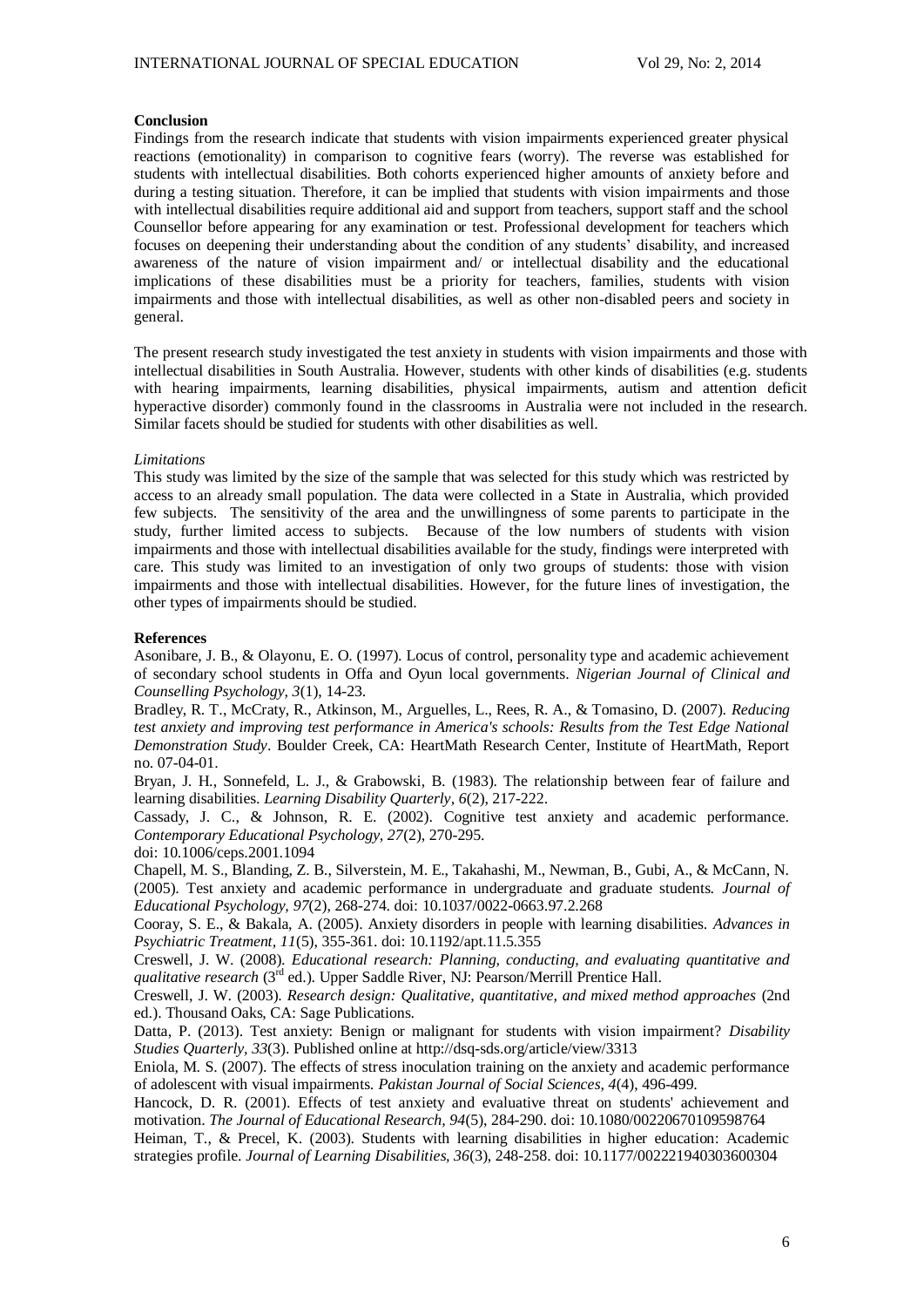# **Conclusion**

Findings from the research indicate that students with vision impairments experienced greater physical reactions (emotionality) in comparison to cognitive fears (worry). The reverse was established for students with intellectual disabilities. Both cohorts experienced higher amounts of anxiety before and during a testing situation. Therefore, it can be implied that students with vision impairments and those with intellectual disabilities require additional aid and support from teachers, support staff and the school Counsellor before appearing for any examination or test. Professional development for teachers which focuses on deepening their understanding about the condition of any students' disability, and increased awareness of the nature of vision impairment and/ or intellectual disability and the educational implications of these disabilities must be a priority for teachers, families, students with vision impairments and those with intellectual disabilities, as well as other non-disabled peers and society in general.

The present research study investigated the test anxiety in students with vision impairments and those with intellectual disabilities in South Australia. However, students with other kinds of disabilities (e.g. students with hearing impairments, learning disabilities, physical impairments, autism and attention deficit hyperactive disorder) commonly found in the classrooms in Australia were not included in the research. Similar facets should be studied for students with other disabilities as well.

### *Limitations*

This study was limited by the size of the sample that was selected for this study which was restricted by access to an already small population. The data were collected in a State in Australia, which provided few subjects. The sensitivity of the area and the unwillingness of some parents to participate in the study, further limited access to subjects. Because of the low numbers of students with vision impairments and those with intellectual disabilities available for the study, findings were interpreted with care. This study was limited to an investigation of only two groups of students: those with vision impairments and those with intellectual disabilities. However, for the future lines of investigation, the other types of impairments should be studied.

### **References**

Asonibare, J. B., & Olayonu, E. O. (1997). Locus of control, personality type and academic achievement of secondary school students in Offa and Oyun local governments. *Nigerian Journal of Clinical and Counselling Psychology, 3*(1), 14-23.

Bradley, R. T., McCraty, R., Atkinson, M., Arguelles, L., Rees, R. A., & Tomasino, D. (2007). *Reducing test anxiety and improving test performance in America's schools: Results from the Test Edge National Demonstration Study*. Boulder Creek, CA: HeartMath Research Center, Institute of HeartMath, Report no. 07-04-01.

Bryan, J. H., Sonnefeld, L. J., & Grabowski, B. (1983). The relationship between fear of failure and learning disabilities. *Learning Disability Quarterly, 6*(2), 217-222.

Cassady, J. C., & Johnson, R. E. (2002). Cognitive test anxiety and academic performance. *Contemporary Educational Psychology, 27*(2), 270-295.

doi: 10.1006/ceps.2001.1094

Chapell, M. S., Blanding, Z. B., Silverstein, M. E., Takahashi, M., Newman, B., Gubi, A., & McCann, N. (2005). Test anxiety and academic performance in undergraduate and graduate students. *Journal of Educational Psychology, 97*(2), 268-274. doi: 10.1037/0022-0663.97.2.268

Cooray, S. E., & Bakala, A. (2005). Anxiety disorders in people with learning disabilities. *Advances in Psychiatric Treatment, 11*(5), 355-361. doi: 10.1192/apt.11.5.355

Creswell, J. W. (2008). *Educational research: Planning, conducting, and evaluating quantitative and qualitative research* (3<sup>rd</sup> ed.). Upper Saddle River, NJ: Pearson/Merrill Prentice Hall.

Creswell, J. W. (2003). *Research design: Qualitative, quantitative, and mixed method approaches* (2nd ed.). Thousand Oaks, CA: Sage Publications.

Datta, P. (2013). Test anxiety: Benign or malignant for students with vision impairment? *Disability Studies Quarterly, 33*(3). Published online at http://dsq-sds.org/article/view/3313

Eniola, M. S. (2007). The effects of stress inoculation training on the anxiety and academic performance of adolescent with visual impairments. *Pakistan Journal of Social Sciences, 4*(4), 496-499.

Hancock, D. R. (2001). Effects of test anxiety and evaluative threat on students' achievement and motivation. *The Journal of Educational Research, 94*(5), 284-290. doi: 10.1080/00220670109598764

Heiman, T., & Precel, K. (2003). Students with learning disabilities in higher education: Academic strategies profile. *Journal of Learning Disabilities, 36*(3), 248-258. doi: 10.1177/002221940303600304